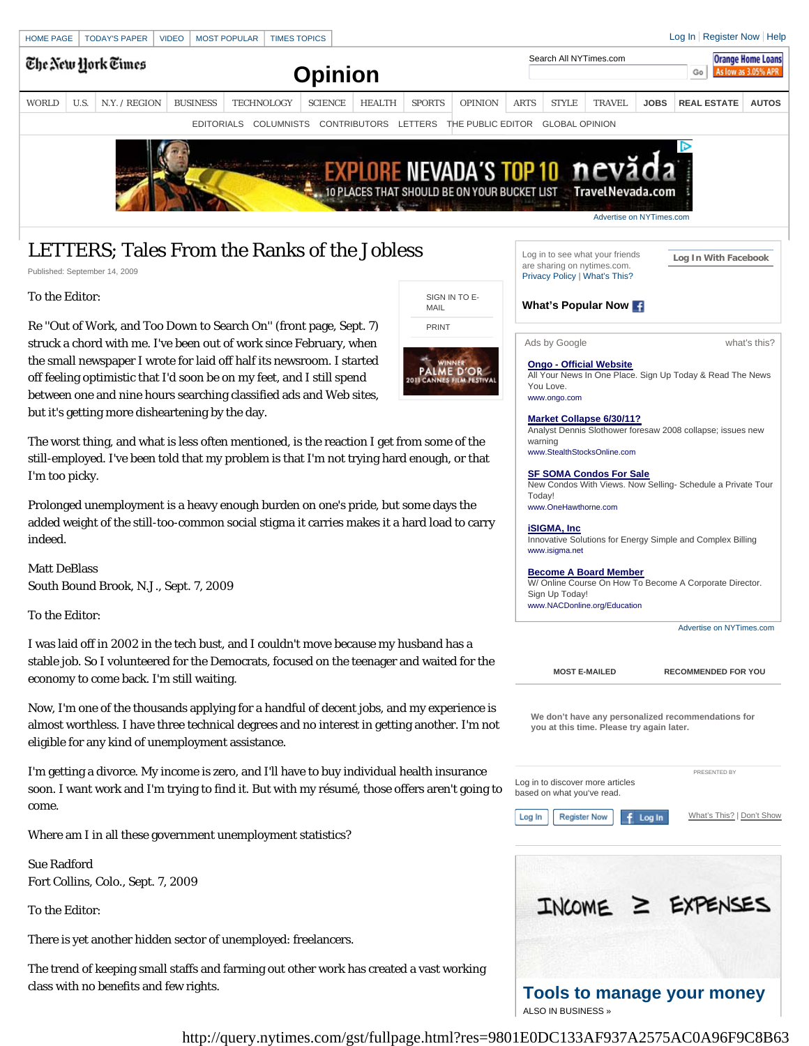

# LETTERS; Tales From the Ranks of the Jobless

Published: September 14, 2009

#### To the Editor:

Re ''Out of Work, and Too Down to Search On'' (front page, Sept. 7) struck a chord with me. I've been out of work since February, when the small newspaper I wrote for laid off half its newsroom. I started off feeling optimistic that I'd soon be on my feet, and I still spend between one and nine hours searching classified ads and Web sites, but it's getting more disheartening by the day.

The worst thing, and what is less often mentioned, is the reaction I get from some of the still-employed. I've been told that my problem is that I'm not trying hard enough, or that I'm too picky.

Prolonged unemployment is a heavy enough burden on one's pride, but some days the added weight of the still-too-common social stigma it carries makes it a hard load to carry indeed.

Matt DeBlass South Bound Brook, N.J., Sept. 7, 2009

To the Editor:

I was laid off in 2002 in the tech bust, and I couldn't move because my husband has a stable job. So I volunteered for the Democrats, focused on the teenager and waited for the economy to come back. I'm still waiting.

Now, I'm one of the thousands applying for a handful of decent jobs, and my experience is almost worthless. I have three technical degrees and no interest in getting another. I'm not eligible for any kind of unemployment assistance.

I'm getting a divorce. My income is zero, and I'll have to buy individual health insurance soon. I want work and I'm trying to find it. But with my résumé, those offers aren't going to come.

Where am I in all these government unemployment statistics?

Sue Radford Fort Collins, Colo., Sept. 7, 2009

To the Editor:

There is yet another hidden sector of unemployed: freelancers.

The trend of keeping small staffs and farming out other work has created a vast working class with no benefits and few rights.



Log in to see what your friends are sharing on nytimes.com. Privacy Policy | What's This?

**Log In With Facebook**

## **What's Popular Now**

Ads by Google **by Coogle what's this?** 

## **Ongo - Official Website**

All Your News In One Place. Sign Up Today & Read The News You Love. www.ongo.com

#### **Market Collapse 6/30/11?**

Analyst Dennis Slothower foresaw 2008 collapse; issues new warning

www.StealthStocksOnline.com

#### **SF SOMA Condos For Sale**

New Condos With Views. Now Selling- Schedule a Private Tour Today! www.OneHawthorne.com

**iSIGMA, Inc** Innovative Solutions for Energy Simple and Complex Billing www.isigma.net

#### **Become A Board Member**

W/ Online Course On How To Become A Corporate Director. Sign Up Today! www.NACDonline.org/Education

Advertise on NYTimes.com

**MOST E-MAILED RECOMMENDED FOR YOU**

**We don't have any personalized recommendations for you at this time. Please try again later.**

Log In

Log in to discover more articles based on what you've read.

**Register Now** 

Log In

PRESENTED BY

What's This? | Don't Show



http://query.nytimes.com/gst/fullpage.html?res=9801E0DC133AF937A2575AC0A96F9C8B63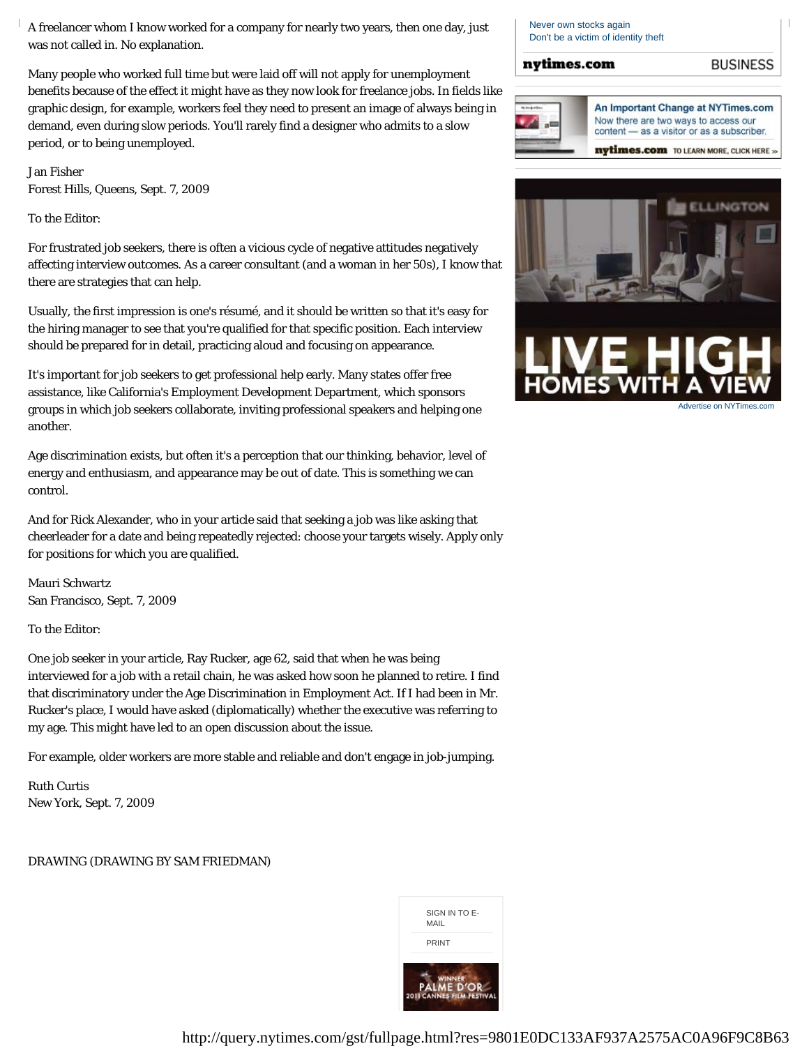A freelancer whom I know worked for a company for nearly two years, then one day, just was not called in. No explanation.

Many people who worked full time but were laid off will not apply for unemployment benefits because of the effect it might have as they now look for freelance jobs. In fields like graphic design, for example, workers feel they need to present an image of always being in demand, even during slow periods. You'll rarely find a designer who admits to a slow period, or to being unemployed.

Jan Fisher Forest Hills, Queens, Sept. 7, 2009

To the Editor:

For frustrated job seekers, there is often a vicious cycle of negative attitudes negatively affecting interview outcomes. As a career consultant (and a woman in her 50s), I know that there are strategies that can help.

Usually, the first impression is one's résumé, and it should be written so that it's easy for the hiring manager to see that you're qualified for that specific position. Each interview should be prepared for in detail, practicing aloud and focusing on appearance.

It's important for job seekers to get professional help early. Many states offer free assistance, like California's Employment Development Department, which sponsors groups in which job seekers collaborate, inviting professional speakers and helping one another.

Age discrimination exists, but often it's a perception that our thinking, behavior, level of energy and enthusiasm, and appearance may be out of date. This is something we can control.

And for Rick Alexander, who in your article said that seeking a job was like asking that cheerleader for a date and being repeatedly rejected: choose your targets wisely. Apply only for positions for which you are qualified.

Mauri Schwartz San Francisco, Sept. 7, 2009

To the Editor:

One job seeker in your article, Ray Rucker, age 62, said that when he was being interviewed for a job with a retail chain, he was asked how soon he planned to retire. I find that discriminatory under the Age Discrimination in Employment Act. If I had been in Mr. Rucker's place, I would have asked (diplomatically) whether the executive was referring to my age. This might have led to an open discussion about the issue.

For example, older workers are more stable and reliable and don't engage in job-jumping.

Ruth Curtis New York, Sept. 7, 2009

DRAWING (DRAWING BY SAM FRIEDMAN)



Never own stocks again Don't be a victim of identity theft

### nytimes.com





Advertise on NYTimes.com